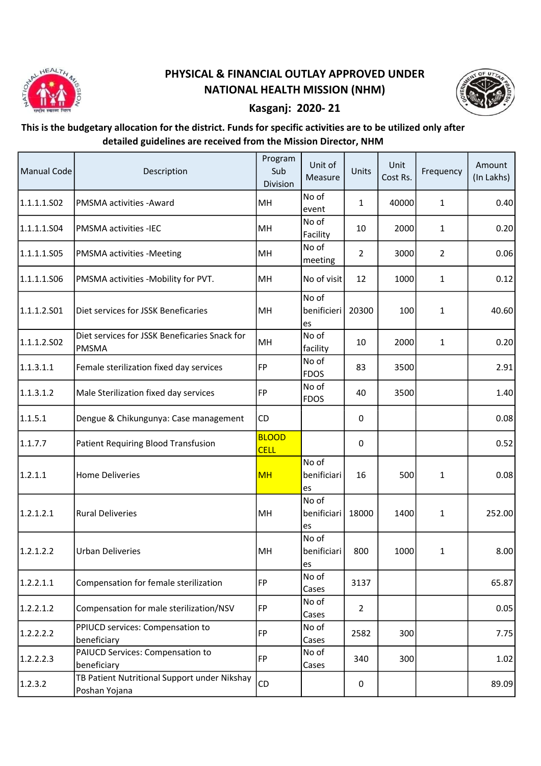

## PHYSICAL & FINANCIAL OUTLAY APPROVED UNDER NATIONAL HEALTH MISSION (NHM)



## Kasganj: 2020- 21

## This is the budgetary allocation for the district. Funds for specific activities are to be utilized only after detailed guidelines are received from the Mission Director, NHM

| <b>Manual Code</b> | Description                                                   | Program<br>Sub<br>Division  | Unit of<br>Measure         | Units          | Unit<br>Cost Rs. | Frequency      | Amount<br>(In Lakhs) |
|--------------------|---------------------------------------------------------------|-----------------------------|----------------------------|----------------|------------------|----------------|----------------------|
| 1.1.1.1.S02        | PMSMA activities - Award                                      | MH                          | No of<br>event             | 1              | 40000            | $\mathbf{1}$   | 0.40                 |
| 1.1.1.1.504        | <b>PMSMA activities -IEC</b>                                  | MH                          | No of<br>Facility          | 10             | 2000             | $\mathbf{1}$   | 0.20                 |
| 1.1.1.1.S05        | PMSMA activities -Meeting                                     | MH                          | No of<br>meeting           | $\overline{2}$ | 3000             | $\overline{2}$ | 0.06                 |
| 1.1.1.1.506        | PMSMA activities -Mobility for PVT.                           | MH                          | No of visit                | 12             | 1000             | $\mathbf{1}$   | 0.12                 |
| 1.1.1.2.501        | Diet services for JSSK Beneficaries                           | MH                          | No of<br>benificieri<br>es | 20300          | 100              | $\mathbf{1}$   | 40.60                |
| 1.1.1.2.502        | Diet services for JSSK Beneficaries Snack for<br><b>PMSMA</b> | MH                          | No of<br>facility          | 10             | 2000             | $\mathbf{1}$   | 0.20                 |
| 1.1.3.1.1          | Female sterilization fixed day services                       | FP                          | No of<br><b>FDOS</b>       | 83             | 3500             |                | 2.91                 |
| 1.1.3.1.2          | Male Sterilization fixed day services                         | FP]                         | No of<br><b>FDOS</b>       | 40             | 3500             |                | 1.40                 |
| 1.1.5.1            | Dengue & Chikungunya: Case management                         | CD                          |                            | 0              |                  |                | 0.08                 |
| 1.1.7.7            | Patient Requiring Blood Transfusion                           | <b>BLOOD</b><br><b>CELL</b> |                            | 0              |                  |                | 0.52                 |
| 1.2.1.1            | <b>Home Deliveries</b>                                        | <b>MH</b>                   | No of<br>benificiari<br>es | 16             | 500              | 1              | 0.08                 |
| 1.2.1.2.1          | <b>Rural Deliveries</b>                                       | MH                          | No of<br>benificiari<br>es | 18000          | 1400             | 1              | 252.00               |
| 1.2.1.2.2          | <b>Urban Deliveries</b>                                       | MH                          | No of<br>benificiari<br>es | 800            | 1000             | 1              | 8.00                 |
| 1.2.2.1.1          | Compensation for female sterilization                         | FP                          | No of<br>Cases             | 3137           |                  |                | 65.87                |
| 1.2.2.1.2          | Compensation for male sterilization/NSV                       | FP                          | No of<br>Cases             | $\overline{2}$ |                  |                | 0.05                 |
| 1.2.2.2.2          | PPIUCD services: Compensation to<br>beneficiary               | FP                          | No of<br>Cases             | 2582           | 300              |                | 7.75                 |
| 1.2.2.2.3          | PAIUCD Services: Compensation to<br>beneficiary               | FP                          | No of<br>Cases             | 340            | 300              |                | 1.02                 |
| 1.2.3.2            | TB Patient Nutritional Support under Nikshay<br>Poshan Yojana | CD                          |                            | 0              |                  |                | 89.09                |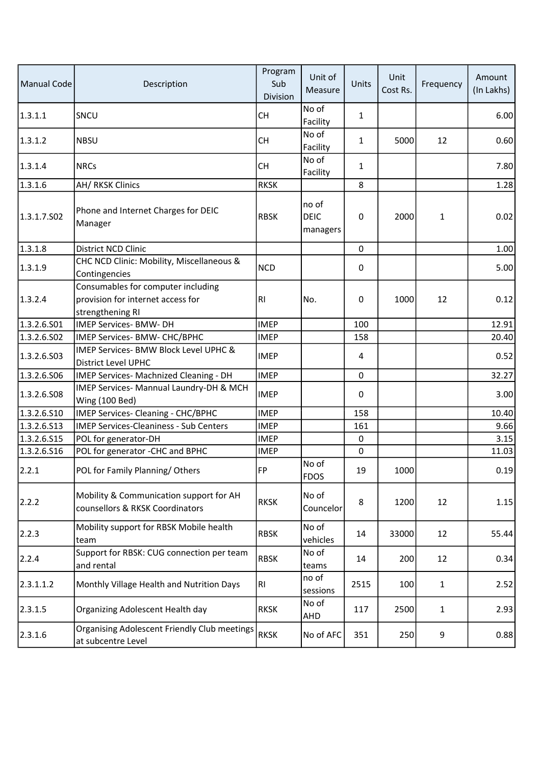| <b>Manual Code</b> | Description                                                                                 | Program<br>Sub<br>Division | Unit of<br>Measure               | Units        | Unit<br>Cost Rs. | Frequency    | Amount<br>(In Lakhs) |
|--------------------|---------------------------------------------------------------------------------------------|----------------------------|----------------------------------|--------------|------------------|--------------|----------------------|
| 1.3.1.1            | SNCU                                                                                        | СH                         | No of<br>Facility                | $\mathbf{1}$ |                  |              | 6.00                 |
| 1.3.1.2            | <b>NBSU</b>                                                                                 | <b>CH</b>                  | No of<br>Facility                | $\mathbf{1}$ | 5000             | 12           | 0.60                 |
| 1.3.1.4            | <b>NRCs</b>                                                                                 | <b>CH</b>                  | No of<br>Facility                | $\mathbf{1}$ |                  |              | 7.80                 |
| 1.3.1.6            | AH/RKSK Clinics                                                                             | <b>RKSK</b>                |                                  | 8            |                  |              | 1.28                 |
| 1.3.1.7.502        | Phone and Internet Charges for DEIC<br>Manager                                              | <b>RBSK</b>                | no of<br><b>DEIC</b><br>managers | 0            | 2000             | $\mathbf{1}$ | 0.02                 |
| 1.3.1.8            | District NCD Clinic                                                                         |                            |                                  | 0            |                  |              | 1.00                 |
| 1.3.1.9            | CHC NCD Clinic: Mobility, Miscellaneous &<br>Contingencies                                  | <b>NCD</b>                 |                                  | 0            |                  |              | 5.00                 |
| 1.3.2.4            | Consumables for computer including<br>provision for internet access for<br>strengthening RI | R <sub>l</sub>             | No.                              | 0            | 1000             | 12           | 0.12                 |
| 1.3.2.6.S01        | <b>IMEP Services- BMW- DH</b>                                                               | <b>IMEP</b>                |                                  | 100          |                  |              | 12.91                |
| 1.3.2.6.S02        | IMEP Services- BMW- CHC/BPHC                                                                | <b>IMEP</b>                |                                  | 158          |                  |              | 20.40                |
| 1.3.2.6.503        | IMEP Services- BMW Block Level UPHC &<br>District Level UPHC                                | <b>IMEP</b>                |                                  | 4            |                  |              | 0.52                 |
| 1.3.2.6.506        | IMEP Services- Machnized Cleaning - DH                                                      | <b>IMEP</b>                |                                  | 0            |                  |              | 32.27                |
| 1.3.2.6.S08        | IMEP Services- Mannual Laundry-DH & MCH<br>Wing (100 Bed)                                   | <b>IMEP</b>                |                                  | 0            |                  |              | 3.00                 |
| 1.3.2.6.510        | IMEP Services- Cleaning - CHC/BPHC                                                          | <b>IMEP</b>                |                                  | 158          |                  |              | 10.40                |
| 1.3.2.6.513        | <b>IMEP Services-Cleaniness - Sub Centers</b>                                               | <b>IMEP</b>                |                                  | 161          |                  |              | 9.66                 |
| 1.3.2.6.S15        | POL for generator-DH                                                                        | <b>IMEP</b>                |                                  | 0            |                  |              | 3.15                 |
| 1.3.2.6.516        | POL for generator -CHC and BPHC                                                             | <b>IMEP</b>                |                                  | 0            |                  |              | 11.03                |
| 2.2.1              | POL for Family Planning/Others                                                              | FP                         | No of<br><b>FDOS</b>             | 19           | 1000             |              | 0.19                 |
| 2.2.2              | Mobility & Communication support for AH<br>counsellors & RKSK Coordinators                  | <b>RKSK</b>                | No of<br>Councelor               | 8            | 1200             | 12           | 1.15                 |
| 2.2.3              | Mobility support for RBSK Mobile health<br>team                                             | <b>RBSK</b>                | No of<br>vehicles                | 14           | 33000            | 12           | 55.44                |
| 2.2.4              | Support for RBSK: CUG connection per team<br>and rental                                     | <b>RBSK</b>                | No of<br>teams                   | 14           | 200              | 12           | 0.34                 |
| 2.3.1.1.2          | Monthly Village Health and Nutrition Days                                                   | RI                         | no of<br>sessions                | 2515         | 100              | $\mathbf{1}$ | 2.52                 |
| 2.3.1.5            | Organizing Adolescent Health day                                                            | <b>RKSK</b>                | No of<br>AHD                     | 117          | 2500             | $\mathbf{1}$ | 2.93                 |
| 2.3.1.6            | <b>Organising Adolescent Friendly Club meetings</b><br>at subcentre Level                   | <b>RKSK</b>                | No of AFC                        | 351          | 250              | 9            | 0.88                 |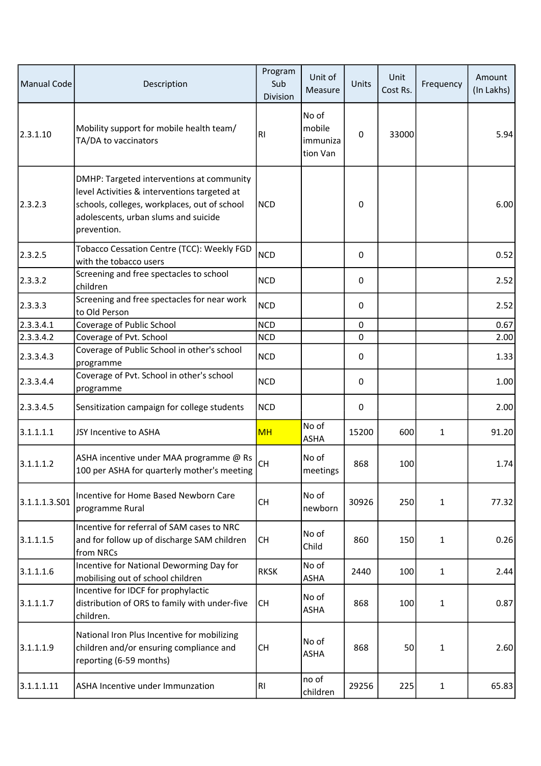| <b>Manual Code</b> | Description                                                                                                                                                                                      | Program<br>Sub<br>Division | Unit of<br>Measure                      | Units | Unit<br>Cost Rs. | Frequency    | Amount<br>(In Lakhs) |
|--------------------|--------------------------------------------------------------------------------------------------------------------------------------------------------------------------------------------------|----------------------------|-----------------------------------------|-------|------------------|--------------|----------------------|
| 2.3.1.10           | Mobility support for mobile health team/<br>TA/DA to vaccinators                                                                                                                                 | R <sub>l</sub>             | No of<br>mobile<br>immuniza<br>tion Van | 0     | 33000            |              | 5.94                 |
| 2.3.2.3            | DMHP: Targeted interventions at community<br>level Activities & interventions targeted at<br>schools, colleges, workplaces, out of school<br>adolescents, urban slums and suicide<br>prevention. | <b>NCD</b>                 |                                         | 0     |                  |              | 6.00                 |
| 2.3.2.5            | Tobacco Cessation Centre (TCC): Weekly FGD<br>with the tobacco users                                                                                                                             | <b>NCD</b>                 |                                         | 0     |                  |              | 0.52                 |
| 2.3.3.2            | Screening and free spectacles to school<br>children                                                                                                                                              | <b>NCD</b>                 |                                         | 0     |                  |              | 2.52                 |
| 2.3.3.3            | Screening and free spectacles for near work<br>to Old Person                                                                                                                                     | <b>NCD</b>                 |                                         | 0     |                  |              | 2.52                 |
| 2.3.3.4.1          | Coverage of Public School                                                                                                                                                                        | <b>NCD</b>                 |                                         | 0     |                  |              | 0.67                 |
| 2.3.3.4.2          | Coverage of Pvt. School                                                                                                                                                                          | <b>NCD</b>                 |                                         | 0     |                  |              | 2.00                 |
| 2.3.3.4.3          | Coverage of Public School in other's school<br>programme                                                                                                                                         | <b>NCD</b>                 |                                         | 0     |                  |              | 1.33                 |
| 2.3.3.4.4          | Coverage of Pvt. School in other's school<br>programme                                                                                                                                           | <b>NCD</b>                 |                                         | 0     |                  |              | 1.00                 |
| 2.3.3.4.5          | Sensitization campaign for college students                                                                                                                                                      | <b>NCD</b>                 |                                         | 0     |                  |              | 2.00                 |
| 3.1.1.1.1          | JSY Incentive to ASHA                                                                                                                                                                            | <b>MH</b>                  | No of<br><b>ASHA</b>                    | 15200 | 600              | 1            | 91.20                |
| 3.1.1.1.2          | ASHA incentive under MAA programme @ Rs<br>100 per ASHA for quarterly mother's meeting                                                                                                           | <b>CH</b>                  | No of<br>meetings                       | 868   | 100              |              | 1.74                 |
| 3.1.1.1.3.501      | Incentive for Home Based Newborn Care<br>programme Rural                                                                                                                                         | <b>CH</b>                  | No of<br>newborn                        | 30926 | 250              | $\mathbf{1}$ | 77.32                |
| 3.1.1.1.5          | Incentive for referral of SAM cases to NRC<br>and for follow up of discharge SAM children<br>from NRCs                                                                                           | <b>CH</b>                  | No of<br>Child                          | 860   | 150              | 1            | 0.26                 |
| 3.1.1.1.6          | Incentive for National Deworming Day for<br>mobilising out of school children                                                                                                                    | <b>RKSK</b>                | No of<br>ASHA                           | 2440  | 100              | $\mathbf{1}$ | 2.44                 |
| 3.1.1.1.7          | Incentive for IDCF for prophylactic<br>distribution of ORS to family with under-five<br>children.                                                                                                | <b>CH</b>                  | No of<br>ASHA                           | 868   | 100              | 1            | 0.87                 |
| 3.1.1.1.9          | National Iron Plus Incentive for mobilizing<br>children and/or ensuring compliance and<br>reporting (6-59 months)                                                                                | <b>CH</b>                  | No of<br><b>ASHA</b>                    | 868   | 50               | 1            | 2.60                 |
| 3.1.1.1.11         | <b>ASHA Incentive under Immunzation</b>                                                                                                                                                          | R <sub>1</sub>             | no of<br>children                       | 29256 | 225              | $\mathbf{1}$ | 65.83                |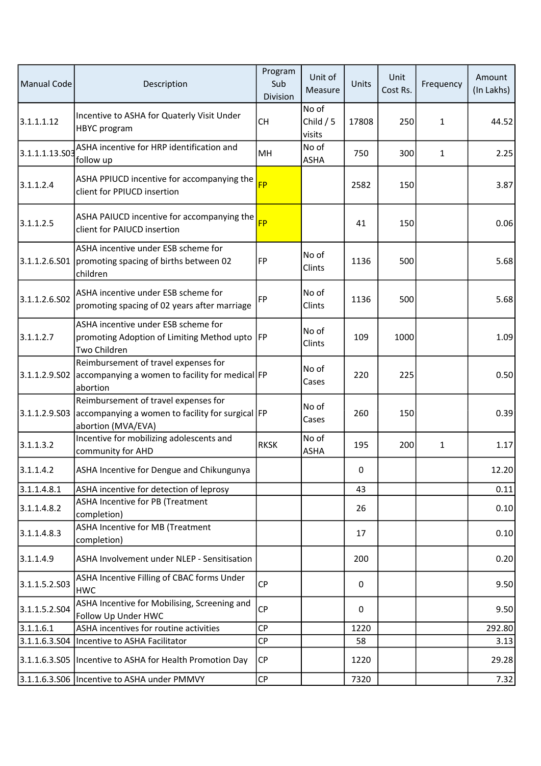| Manual Code    | Description                                                                                                    | Program<br>Sub<br>Division | Unit of<br>Measure            | Units | Unit<br>Cost Rs. | Frequency    | Amount<br>(In Lakhs) |
|----------------|----------------------------------------------------------------------------------------------------------------|----------------------------|-------------------------------|-------|------------------|--------------|----------------------|
| 3.1.1.1.12     | Incentive to ASHA for Quaterly Visit Under<br>HBYC program                                                     | <b>CH</b>                  | No of<br>Child $/5$<br>visits | 17808 | 250              | $\mathbf{1}$ | 44.52                |
| 3.1.1.1.13.503 | ASHA incentive for HRP identification and<br>follow up                                                         | MH                         | No of<br>ASHA                 | 750   | 300              | 1            | 2.25                 |
| 3.1.1.2.4      | ASHA PPIUCD incentive for accompanying the<br>client for PPIUCD insertion                                      | <b>FP</b>                  |                               | 2582  | 150              |              | 3.87                 |
| 3.1.1.2.5      | ASHA PAIUCD incentive for accompanying the<br>client for PAIUCD insertion                                      | <b>FP</b>                  |                               | 41    | 150              |              | 0.06                 |
| 3.1.1.2.6.S01  | ASHA incentive under ESB scheme for<br>promoting spacing of births between 02<br>children                      | FP                         | No of<br>Clints               | 1136  | 500              |              | 5.68                 |
| 3.1.1.2.6.S02  | ASHA incentive under ESB scheme for<br>promoting spacing of 02 years after marriage                            | <b>FP</b>                  | No of<br>Clints               | 1136  | 500              |              | 5.68                 |
| 3.1.1.2.7      | ASHA incentive under ESB scheme for<br>promoting Adoption of Limiting Method upto  FP<br>Two Children          |                            | No of<br>Clints               | 109   | 1000             |              | 1.09                 |
| 3.1.1.2.9.502  | Reimbursement of travel expenses for<br>accompanying a women to facility for medical FP<br>abortion            |                            | No of<br>Cases                | 220   | 225              |              | 0.50                 |
| 3.1.1.2.9.503  | Reimbursement of travel expenses for<br>accompanying a women to facility for surgical FP<br>abortion (MVA/EVA) |                            | No of<br>Cases                | 260   | 150              |              | 0.39                 |
| 3.1.1.3.2      | Incentive for mobilizing adolescents and<br>community for AHD                                                  | <b>RKSK</b>                | No of<br>ASHA                 | 195   | 200              | $\mathbf{1}$ | 1.17                 |
| 3.1.1.4.2      | ASHA Incentive for Dengue and Chikungunya                                                                      |                            |                               | 0     |                  |              | 12.20                |
| 3.1.1.4.8.1    | ASHA incentive for detection of leprosy                                                                        |                            |                               | 43    |                  |              | 0.11                 |
| 3.1.1.4.8.2    | ASHA Incentive for PB (Treatment<br>completion)                                                                |                            |                               | 26    |                  |              | 0.10                 |
| 3.1.1.4.8.3    | ASHA Incentive for MB (Treatment<br>completion)                                                                |                            |                               | 17    |                  |              | 0.10                 |
| 3.1.1.4.9      | ASHA Involvement under NLEP - Sensitisation                                                                    |                            |                               | 200   |                  |              | 0.20                 |
| 3.1.1.5.2.503  | ASHA Incentive Filling of CBAC forms Under<br><b>HWC</b>                                                       | <b>CP</b>                  |                               | 0     |                  |              | 9.50                 |
| 3.1.1.5.2.504  | ASHA Incentive for Mobilising, Screening and<br>Follow Up Under HWC                                            | <b>CP</b>                  |                               | 0     |                  |              | 9.50                 |
| 3.1.1.6.1      | ASHA incentives for routine activities                                                                         | <b>CP</b>                  |                               | 1220  |                  |              | 292.80               |
| 3.1.1.6.3.504  | Incentive to ASHA Facilitator                                                                                  | <b>CP</b>                  |                               | 58    |                  |              | 3.13                 |
|                | 3.1.1.6.3.S05   Incentive to ASHA for Health Promotion Day                                                     | <b>CP</b>                  |                               | 1220  |                  |              | 29.28                |
|                | 3.1.1.6.3.S06   Incentive to ASHA under PMMVY                                                                  | <b>CP</b>                  |                               | 7320  |                  |              | 7.32                 |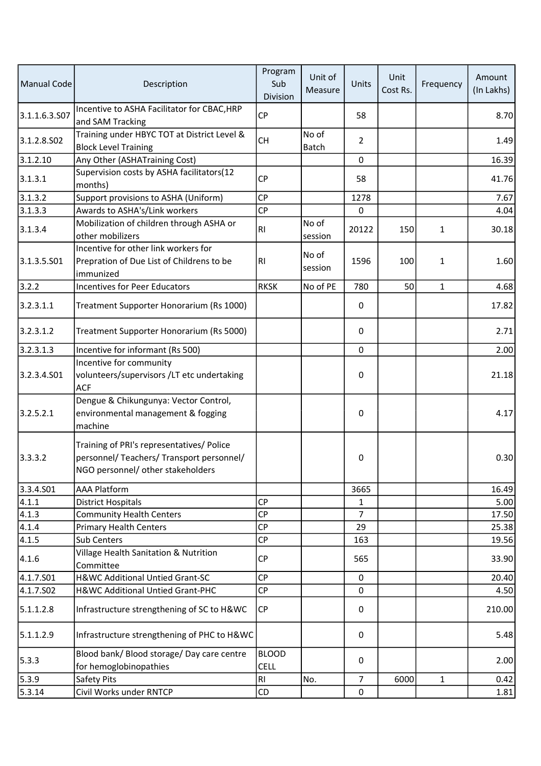| <b>Manual Code</b> | Description                                                                                                                 | Program<br>Sub<br>Division  | Unit of<br>Measure | Units          | Unit<br>Cost Rs. | Frequency    | Amount<br>(In Lakhs) |
|--------------------|-----------------------------------------------------------------------------------------------------------------------------|-----------------------------|--------------------|----------------|------------------|--------------|----------------------|
| 3.1.1.6.3.S07      | Incentive to ASHA Facilitator for CBAC, HRP<br>and SAM Tracking                                                             | <b>CP</b>                   |                    | 58             |                  |              | 8.70                 |
| 3.1.2.8.502        | Training under HBYC TOT at District Level &<br><b>Block Level Training</b>                                                  | <b>CH</b>                   | No of<br>Batch     | $\overline{2}$ |                  |              | 1.49                 |
| 3.1.2.10           | Any Other (ASHATraining Cost)                                                                                               |                             |                    | 0              |                  |              | 16.39                |
| 3.1.3.1            | Supervision costs by ASHA facilitators(12<br>months)                                                                        | <b>CP</b>                   |                    | 58             |                  |              | 41.76                |
| 3.1.3.2            | Support provisions to ASHA (Uniform)                                                                                        | <b>CP</b>                   |                    | 1278           |                  |              | 7.67                 |
| 3.1.3.3            | Awards to ASHA's/Link workers                                                                                               | <b>CP</b>                   |                    | 0              |                  |              | 4.04                 |
| 3.1.3.4            | Mobilization of children through ASHA or<br>other mobilizers                                                                | R <sub>l</sub>              | No of<br>session   | 20122          | 150              | 1            | 30.18                |
| 3.1.3.5.S01        | Incentive for other link workers for<br>Prepration of Due List of Childrens to be<br>immunized                              | R <sub>l</sub>              | No of<br>session   | 1596           | 100              | 1            | 1.60                 |
| 3.2.2              | Incentives for Peer Educators                                                                                               | <b>RKSK</b>                 | No of PE           | 780            | 50               | $\mathbf{1}$ | 4.68                 |
| 3.2.3.1.1          | Treatment Supporter Honorarium (Rs 1000)                                                                                    |                             |                    | 0              |                  |              | 17.82                |
| 3.2.3.1.2          | Treatment Supporter Honorarium (Rs 5000)                                                                                    |                             |                    | 0              |                  |              | 2.71                 |
| 3.2.3.1.3          | Incentive for informant (Rs 500)                                                                                            |                             |                    | $\mathbf 0$    |                  |              | 2.00                 |
| 3.2.3.4.501        | Incentive for community<br>volunteers/supervisors /LT etc undertaking<br><b>ACF</b>                                         |                             |                    | 0              |                  |              | 21.18                |
| 3.2.5.2.1          | Dengue & Chikungunya: Vector Control,<br>environmental management & fogging<br>machine                                      |                             |                    | 0              |                  |              | 4.17                 |
| 3.3.3.2            | Training of PRI's representatives/ Police<br>personnel/ Teachers/ Transport personnel/<br>NGO personnel/ other stakeholders |                             |                    | 0              |                  |              | 0.30                 |
| 3.3.4.501          | <b>AAA Platform</b>                                                                                                         |                             |                    | 3665           |                  |              | 16.49                |
| 4.1.1              | <b>District Hospitals</b>                                                                                                   | <b>CP</b>                   |                    | 1              |                  |              | 5.00                 |
| 4.1.3              | <b>Community Health Centers</b>                                                                                             | <b>CP</b>                   |                    | $\overline{7}$ |                  |              | 17.50                |
| 4.1.4              | <b>Primary Health Centers</b>                                                                                               | <b>CP</b>                   |                    | 29             |                  |              | 25.38                |
| 4.1.5              | Sub Centers                                                                                                                 | CP                          |                    | 163            |                  |              | 19.56                |
| 4.1.6              | Village Health Sanitation & Nutrition<br>Committee                                                                          | CP                          |                    | 565            |                  |              | 33.90                |
| 4.1.7.501          | H&WC Additional Untied Grant-SC                                                                                             | <b>CP</b>                   |                    | 0              |                  |              | 20.40                |
| 4.1.7.S02          | H&WC Additional Untied Grant-PHC                                                                                            | CP                          |                    | 0              |                  |              | 4.50                 |
| 5.1.1.2.8          | Infrastructure strengthening of SC to H&WC                                                                                  | CP                          |                    | 0              |                  |              | 210.00               |
| 5.1.1.2.9          | Infrastructure strengthening of PHC to H&WC                                                                                 |                             |                    | 0              |                  |              | 5.48                 |
| 5.3.3              | Blood bank/ Blood storage/ Day care centre<br>for hemoglobinopathies                                                        | <b>BLOOD</b><br><b>CELL</b> |                    | 0              |                  |              | 2.00                 |
| 5.3.9              | Safety Pits                                                                                                                 | RI                          | No.                | $\overline{7}$ | 6000             | $\mathbf{1}$ | 0.42                 |
| 5.3.14             | Civil Works under RNTCP                                                                                                     | CD                          |                    | $\pmb{0}$      |                  |              | 1.81                 |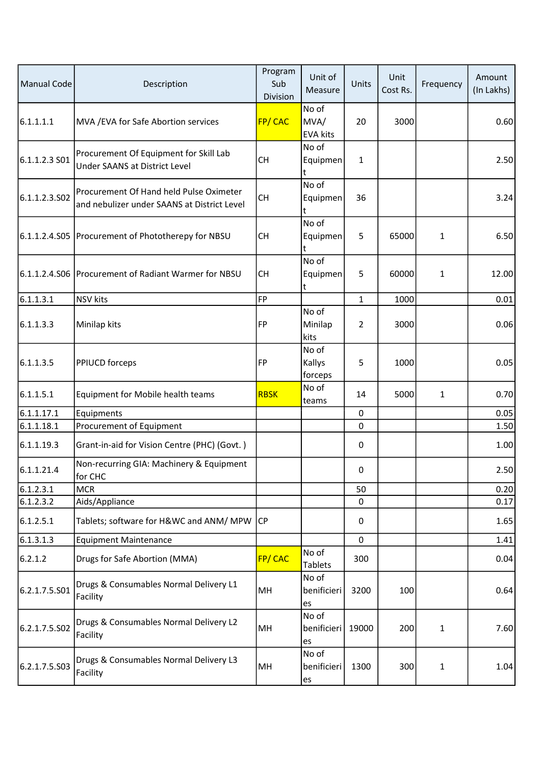| <b>Manual Code</b> | Description                                                                            | Program<br>Sub<br>Division | Unit of<br>Measure               | Units          | Unit<br>Cost Rs. | Frequency    | Amount<br>(In Lakhs) |
|--------------------|----------------------------------------------------------------------------------------|----------------------------|----------------------------------|----------------|------------------|--------------|----------------------|
| 6.1.1.1.1          | MVA / EVA for Safe Abortion services                                                   | <b>FP/CAC</b>              | No of<br>MVA/<br><b>EVA kits</b> | 20             | 3000             |              | 0.60                 |
| 6.1.1.2.3 S01      | Procurement Of Equipment for Skill Lab<br><b>Under SAANS at District Level</b>         | <b>CH</b>                  | No of<br>Equipmen                | 1              |                  |              | 2.50                 |
| 6.1.1.2.3.502      | Procurement Of Hand held Pulse Oximeter<br>and nebulizer under SAANS at District Level | <b>CH</b>                  | No of<br>Equipmen<br>t           | 36             |                  |              | 3.24                 |
|                    | 6.1.1.2.4.S05 Procurement of Phototherepy for NBSU                                     | <b>CH</b>                  | No of<br>Equipmen<br>t           | 5              | 65000            | $\mathbf{1}$ | 6.50                 |
| 6.1.1.2.4.506      | Procurement of Radiant Warmer for NBSU                                                 | <b>CH</b>                  | No of<br>Equipmen<br>t           | 5              | 60000            | $\mathbf{1}$ | 12.00                |
| 6.1.1.3.1          | <b>NSV</b> kits                                                                        | FP                         |                                  | $\mathbf{1}$   | 1000             |              | 0.01                 |
| 6.1.1.3.3          | Minilap kits                                                                           | FP                         | No of<br>Minilap<br>kits         | $\overline{2}$ | 3000             |              | 0.06                 |
| 6.1.1.3.5          | PPIUCD forceps                                                                         | FP                         | No of<br>Kallys<br>forceps       | 5              | 1000             |              | 0.05                 |
| 6.1.1.5.1          | Equipment for Mobile health teams                                                      | <b>RBSK</b>                | No of<br>teams                   | 14             | 5000             | 1            | 0.70                 |
| 6.1.1.17.1         | Equipments                                                                             |                            |                                  | 0              |                  |              | 0.05                 |
| 6.1.1.18.1         | Procurement of Equipment                                                               |                            |                                  | 0              |                  |              | 1.50                 |
| 6.1.1.19.3         | Grant-in-aid for Vision Centre (PHC) (Govt.)                                           |                            |                                  | 0              |                  |              | 1.00                 |
| 6.1.1.21.4         | Non-recurring GIA: Machinery & Equipment<br>for CHC                                    |                            |                                  | 0              |                  |              | 2.50                 |
| 6.1.2.3.1          | <b>MCR</b>                                                                             |                            |                                  | 50             |                  |              | 0.20                 |
| 6.1.2.3.2          | Aids/Appliance                                                                         |                            |                                  | 0              |                  |              | 0.17                 |
| 6.1.2.5.1          | Tablets; software for H&WC and ANM/ MPW                                                | <b>CP</b>                  |                                  | 0              |                  |              | 1.65                 |
| 6.1.3.1.3          | <b>Equipment Maintenance</b>                                                           |                            |                                  | 0              |                  |              | 1.41                 |
| 6.2.1.2            | Drugs for Safe Abortion (MMA)                                                          | FP/CAC                     | No of<br><b>Tablets</b>          | 300            |                  |              | 0.04                 |
| 6.2.1.7.5.S01      | Drugs & Consumables Normal Delivery L1<br>Facility                                     | MH                         | No of<br>benificieri<br>es       | 3200           | 100              |              | 0.64                 |
| 6.2.1.7.5.502      | Drugs & Consumables Normal Delivery L2<br>Facility                                     | MH                         | No of<br>benificieri<br>es       | 19000          | 200              | 1            | 7.60                 |
| 6.2.1.7.5.503      | Drugs & Consumables Normal Delivery L3<br>Facility                                     | MH                         | No of<br>benificieri<br>es       | 1300           | 300              | $\mathbf{1}$ | 1.04                 |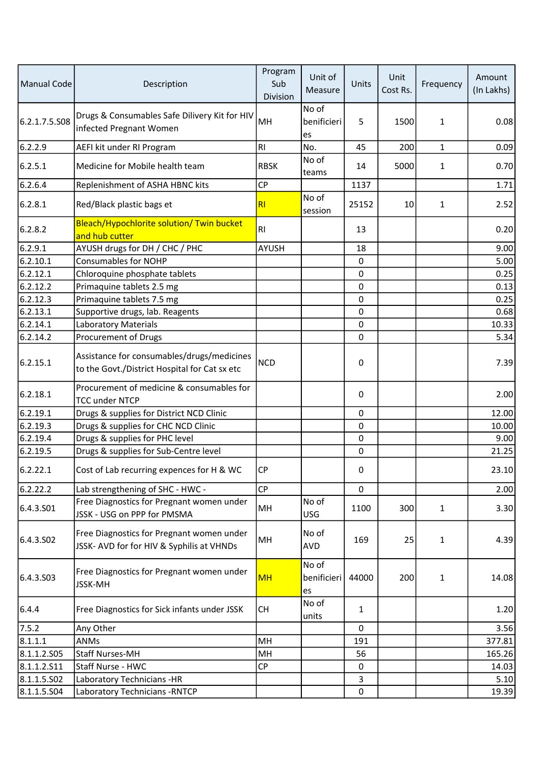| Manual Code   | Description                                                                                 | Program<br>Sub<br>Division | Unit of<br>Measure         | Units       | Unit<br>Cost Rs. | Frequency    | Amount<br>(In Lakhs) |
|---------------|---------------------------------------------------------------------------------------------|----------------------------|----------------------------|-------------|------------------|--------------|----------------------|
| 6.2.1.7.5.S08 | Drugs & Consumables Safe Dilivery Kit for HIV<br>infected Pregnant Women                    | MH                         | No of<br>benificieri<br>es | 5           | 1500             | 1            | 0.08                 |
| 6.2.2.9       | AEFI kit under RI Program                                                                   | R1                         | No.                        | 45          | 200              | 1            | 0.09                 |
| 6.2.5.1       | Medicine for Mobile health team                                                             | <b>RBSK</b>                | No of<br>teams             | 14          | 5000             | $\mathbf 1$  | 0.70                 |
| 6.2.6.4       | Replenishment of ASHA HBNC kits                                                             | CP                         |                            | 1137        |                  |              | 1.71                 |
| 6.2.8.1       | Red/Black plastic bags et                                                                   | RI                         | No of<br>session           | 25152       | 10               | 1            | 2.52                 |
| 6.2.8.2       | Bleach/Hypochlorite solution/ Twin bucket<br>and hub cutter                                 | R <sub>l</sub>             |                            | 13          |                  |              | 0.20                 |
| 6.2.9.1       | AYUSH drugs for DH / CHC / PHC                                                              | <b>AYUSH</b>               |                            | 18          |                  |              | 9.00                 |
| 6.2.10.1      | <b>Consumables for NOHP</b>                                                                 |                            |                            | $\pmb{0}$   |                  |              | 5.00                 |
| 6.2.12.1      | Chloroquine phosphate tablets                                                               |                            |                            | 0           |                  |              | 0.25                 |
| 6.2.12.2      | Primaquine tablets 2.5 mg                                                                   |                            |                            | 0           |                  |              | 0.13                 |
| 6.2.12.3      | Primaquine tablets 7.5 mg                                                                   |                            |                            | 0           |                  |              | 0.25                 |
| 6.2.13.1      | Supportive drugs, lab. Reagents                                                             |                            |                            | $\mathbf 0$ |                  |              | 0.68                 |
| 6.2.14.1      | Laboratory Materials                                                                        |                            |                            | 0           |                  |              | 10.33                |
| 6.2.14.2      | Procurement of Drugs                                                                        |                            |                            | 0           |                  |              | 5.34                 |
| 6.2.15.1      | Assistance for consumables/drugs/medicines<br>to the Govt./District Hospital for Cat sx etc | <b>NCD</b>                 |                            | 0           |                  |              | 7.39                 |
| 6.2.18.1      | Procurement of medicine & consumables for<br><b>TCC under NTCP</b>                          |                            |                            | 0           |                  |              | 2.00                 |
| 6.2.19.1      | Drugs & supplies for District NCD Clinic                                                    |                            |                            | $\pmb{0}$   |                  |              | 12.00                |
| 6.2.19.3      | Drugs & supplies for CHC NCD Clinic                                                         |                            |                            | 0           |                  |              | 10.00                |
| 6.2.19.4      | Drugs & supplies for PHC level                                                              |                            |                            | 0           |                  |              | 9.00                 |
| 6.2.19.5      | Drugs & supplies for Sub-Centre level                                                       |                            |                            | $\mathbf 0$ |                  |              | 21.25                |
| 6.2.22.1      | Cost of Lab recurring expences for H & WC                                                   | CP                         |                            | $\Omega$    |                  |              | 23.10                |
| 6.2.22.2      | Lab strengthening of SHC - HWC -                                                            | <b>CP</b>                  |                            | 0           |                  |              | 2.00                 |
| 6.4.3.S01     | Free Diagnostics for Pregnant women under<br>JSSK - USG on PPP for PMSMA                    | MH                         | No of<br><b>USG</b>        | 1100        | 300              | $\mathbf{1}$ | 3.30                 |
| 6.4.3.502     | Free Diagnostics for Pregnant women under<br>JSSK- AVD for for HIV & Syphilis at VHNDs      | MH                         | No of<br><b>AVD</b>        | 169         | 25               | 1            | 4.39                 |
| 6.4.3.503     | Free Diagnostics for Pregnant women under<br><b>JSSK-MH</b>                                 | <b>MH</b>                  | No of<br>benificieri<br>es | 44000       | 200              | $\mathbf{1}$ | 14.08                |
| 6.4.4         | Free Diagnostics for Sick infants under JSSK                                                | <b>CH</b>                  | No of<br>units             | 1           |                  |              | 1.20                 |
| 7.5.2         | Any Other                                                                                   |                            |                            | 0           |                  |              | 3.56                 |
| 8.1.1.1       | <b>ANMs</b>                                                                                 | MH                         |                            | 191         |                  |              | 377.81               |
| 8.1.1.2.505   | <b>Staff Nurses-MH</b>                                                                      | MH                         |                            | 56          |                  |              | 165.26               |
| 8.1.1.2.511   | Staff Nurse - HWC                                                                           | CP                         |                            | 0           |                  |              | 14.03                |
| 8.1.1.5.502   | Laboratory Technicians -HR                                                                  |                            |                            | 3           |                  |              | 5.10                 |
| 8.1.1.5.504   | Laboratory Technicians - RNTCP                                                              |                            |                            | $\pmb{0}$   |                  |              | 19.39                |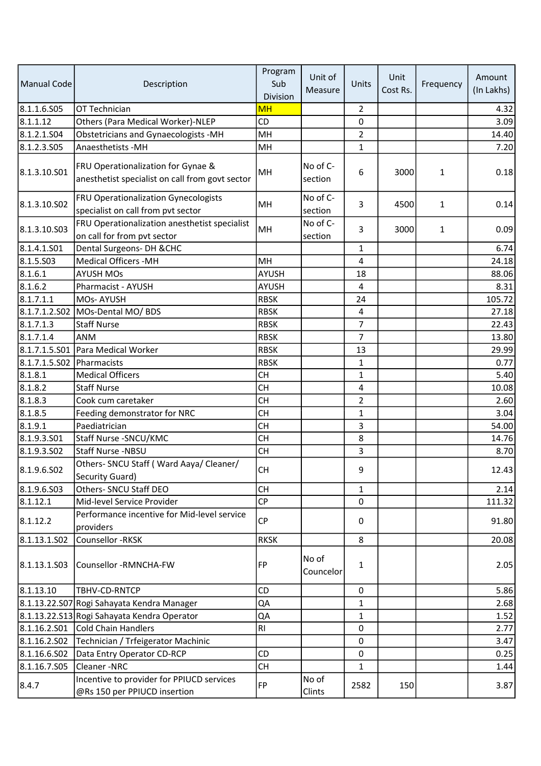|                           |                                                                                       | Program         | Unit of             |                | Unit     |              | Amount     |
|---------------------------|---------------------------------------------------------------------------------------|-----------------|---------------------|----------------|----------|--------------|------------|
| Manual Code               | Description                                                                           | Sub<br>Division | Measure             | Units          | Cost Rs. | Frequency    | (In Lakhs) |
| 8.1.1.6.S05               | OT Technician                                                                         | <b>MH</b>       |                     | 2              |          |              | 4.32       |
| 8.1.1.12                  | Others (Para Medical Worker)-NLEP                                                     | CD              |                     | 0              |          |              | 3.09       |
| 8.1.2.1.504               | <b>Obstetricians and Gynaecologists -MH</b>                                           | MH              |                     | $\overline{2}$ |          |              | 14.40      |
| 8.1.2.3.505               | Anaesthetists - MH                                                                    | MH              |                     | 1              |          |              | 7.20       |
| 8.1.3.10.S01              | FRU Operationalization for Gynae &<br>anesthetist specialist on call from govt sector | MH              | No of C-<br>section | 6              | 3000     | $\mathbf{1}$ | 0.18       |
| 8.1.3.10.S02              | FRU Operationalization Gynecologists<br>specialist on call from pvt sector            | MH              | No of C-<br>section | 3              | 4500     | $\mathbf{1}$ | 0.14       |
| 8.1.3.10.S03              | FRU Operationalization anesthetist specialist<br>on call for from pvt sector          | MH              | No of C-<br>section | 3              | 3000     | $\mathbf{1}$ | 0.09       |
| 8.1.4.1.S01               | Dental Surgeons- DH & CHC                                                             |                 |                     | 1              |          |              | 6.74       |
| 8.1.5.503                 | <b>Medical Officers -MH</b>                                                           | MH              |                     | 4              |          |              | 24.18      |
| 8.1.6.1                   | <b>AYUSH MOs</b>                                                                      | <b>AYUSH</b>    |                     | 18             |          |              | 88.06      |
| 8.1.6.2                   | Pharmacist - AYUSH                                                                    | AYUSH           |                     | 4              |          |              | 8.31       |
| 8.1.7.1.1                 | MOs-AYUSH                                                                             | <b>RBSK</b>     |                     | 24             |          |              | 105.72     |
|                           | 8.1.7.1.2.S02 MOs-Dental MO/ BDS                                                      | <b>RBSK</b>     |                     | 4              |          |              | 27.18      |
| 8.1.7.1.3                 | <b>Staff Nurse</b>                                                                    | <b>RBSK</b>     |                     | $\overline{7}$ |          |              | 22.43      |
| 8.1.7.1.4                 | ANM                                                                                   | <b>RBSK</b>     |                     | $\overline{7}$ |          |              | 13.80      |
| 8.1.7.1.5.S01             | Para Medical Worker                                                                   | <b>RBSK</b>     |                     | 13             |          |              | 29.99      |
| 8.1.7.1.5.S02 Pharmacists |                                                                                       | <b>RBSK</b>     |                     | $\mathbf{1}$   |          |              | 0.77       |
| 8.1.8.1                   | <b>Medical Officers</b>                                                               | <b>CH</b>       |                     | $\mathbf{1}$   |          |              | 5.40       |
| 8.1.8.2                   | <b>Staff Nurse</b>                                                                    | <b>CH</b>       |                     | 4              |          |              | 10.08      |
| 8.1.8.3                   | Cook cum caretaker                                                                    | <b>CH</b>       |                     | $\overline{2}$ |          |              | 2.60       |
| 8.1.8.5                   | Feeding demonstrator for NRC                                                          | <b>CH</b>       |                     | $\mathbf{1}$   |          |              | 3.04       |
| 8.1.9.1                   | Paediatrician                                                                         | <b>CH</b>       |                     | 3              |          |              | 54.00      |
| 8.1.9.3.501               | Staff Nurse - SNCU/KMC                                                                | <b>CH</b>       |                     | 8              |          |              | 14.76      |
| 8.1.9.3.502               | Staff Nurse -NBSU                                                                     | <b>CH</b>       |                     | 3              |          |              | 8.70       |
| 8.1.9.6.SO <sub>2</sub>   | Others- SNCU Staff (Ward Aaya/ Cleaner/<br>Security Guard)                            | <b>CH</b>       |                     | 9              |          |              | 12.43      |
| 8.1.9.6.503               | Others- SNCU Staff DEO                                                                | <b>CH</b>       |                     | $\mathbf{1}$   |          |              | 2.14       |
| 8.1.12.1                  | Mid-level Service Provider                                                            | CP              |                     | 0              |          |              | 111.32     |
| 8.1.12.2                  | Performance incentive for Mid-level service<br>providers                              | <b>CP</b>       |                     | $\mathbf 0$    |          |              | 91.80      |
| 8.1.13.1.502              | Counsellor -RKSK                                                                      | <b>RKSK</b>     |                     | 8              |          |              | 20.08      |
| 8.1.13.1.503              | Counsellor -RMNCHA-FW                                                                 | FP              | No of<br>Councelor  | 1              |          |              | 2.05       |
| 8.1.13.10                 | TBHV-CD-RNTCP                                                                         | CD              |                     | 0              |          |              | 5.86       |
|                           | 8.1.13.22.S07 Rogi Sahayata Kendra Manager                                            | QA              |                     | 1              |          |              | 2.68       |
|                           | 8.1.13.22.S13 Rogi Sahayata Kendra Operator                                           | QA              |                     | 1              |          |              | 1.52       |
| 8.1.16.2.S01              | Cold Chain Handlers                                                                   | RI              |                     | 0              |          |              | 2.77       |
| 8.1.16.2.SO2              | Technician / Trfeigerator Machinic                                                    |                 |                     | 0              |          |              | 3.47       |
| 8.1.16.6.502              | Data Entry Operator CD-RCP                                                            | CD              |                     | 0              |          |              | 0.25       |
| 8.1.16.7.S05              | Cleaner-NRC                                                                           | <b>CH</b>       |                     | 1              |          |              | 1.44       |
| 8.4.7                     | Incentive to provider for PPIUCD services<br>@Rs 150 per PPIUCD insertion             | FP              | No of<br>Clints     | 2582           | 150      |              | 3.87       |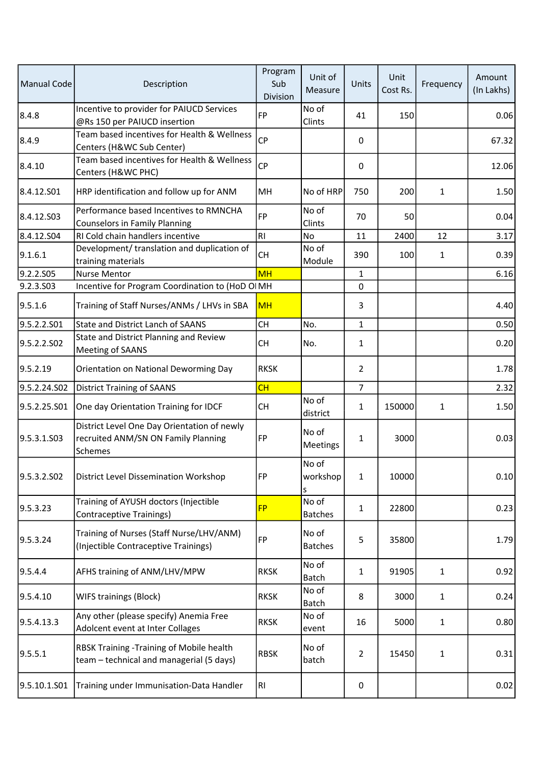| Manual Code  | Description                                                                                   | Program<br>Sub<br>Division | Unit of<br>Measure      | Units          | Unit<br>Cost Rs. | Frequency    | Amount<br>(In Lakhs) |
|--------------|-----------------------------------------------------------------------------------------------|----------------------------|-------------------------|----------------|------------------|--------------|----------------------|
| 8.4.8        | Incentive to provider for PAIUCD Services<br>@Rs 150 per PAIUCD insertion                     | <b>FP</b>                  | No of<br>Clints         | 41             | 150              |              | 0.06                 |
| 8.4.9        | Team based incentives for Health & Wellness<br>Centers (H&WC Sub Center)                      | CP                         |                         | 0              |                  |              | 67.32                |
| 8.4.10       | Team based incentives for Health & Wellness<br>Centers (H&WC PHC)                             | <b>CP</b>                  |                         | 0              |                  |              | 12.06                |
| 8.4.12.501   | HRP identification and follow up for ANM                                                      | MH                         | No of HRP               | 750            | 200              | 1            | 1.50                 |
| 8.4.12.S03   | Performance based Incentives to RMNCHA<br><b>Counselors in Family Planning</b>                | <b>FP</b>                  | No of<br>Clints         | 70             | 50               |              | 0.04                 |
| 8.4.12.504   | RI Cold chain handlers incentive                                                              | RI                         | No                      | 11             | 2400             | 12           | 3.17                 |
| 9.1.6.1      | Development/ translation and duplication of<br>training materials                             | <b>CH</b>                  | No of<br>Module         | 390            | 100              | 1            | 0.39                 |
| 9.2.2.505    | <b>Nurse Mentor</b>                                                                           | <b>MH</b>                  |                         | 1              |                  |              | 6.16                 |
| 9.2.3.S03    | Incentive for Program Coordination to (HoD OIMH                                               |                            |                         | 0              |                  |              |                      |
| 9.5.1.6      | Training of Staff Nurses/ANMs / LHVs in SBA                                                   | <b>MH</b>                  |                         | 3              |                  |              | 4.40                 |
| 9.5.2.2.S01  | <b>State and District Lanch of SAANS</b>                                                      | <b>CH</b>                  | No.                     | $\mathbf{1}$   |                  |              | 0.50                 |
| 9.5.2.2.502  | State and District Planning and Review<br>Meeting of SAANS                                    | <b>CH</b>                  | No.                     | 1              |                  |              | 0.20                 |
| 9.5.2.19     | Orientation on National Deworming Day                                                         | <b>RKSK</b>                |                         | $\overline{2}$ |                  |              | 1.78                 |
| 9.5.2.24.S02 | <b>District Training of SAANS</b>                                                             | CH                         |                         | $\overline{7}$ |                  |              | 2.32                 |
| 9.5.2.25.S01 | One day Orientation Training for IDCF                                                         | <b>CH</b>                  | No of<br>district       | $\mathbf{1}$   | 150000           | 1            | 1.50                 |
| 9.5.3.1.503  | District Level One Day Orientation of newly<br>recruited ANM/SN ON Family Planning<br>Schemes | <b>FP</b>                  | No of<br>Meetings       | $\mathbf{1}$   | 3000             |              | 0.03                 |
| 9.5.3.2.SO2  | District Level Dissemination Workshop                                                         | FP <sup></sup>             | No of<br>workshop<br>s  | $\mathbf{1}$   | 10000            |              | 0.10                 |
| 9.5.3.23     | Training of AYUSH doctors (Injectible<br><b>Contraceptive Trainings)</b>                      | <b>FP</b>                  | No of<br><b>Batches</b> | $\mathbf{1}$   | 22800            |              | 0.23                 |
| 9.5.3.24     | Training of Nurses (Staff Nurse/LHV/ANM)<br>(Injectible Contraceptive Trainings)              | FP                         | No of<br><b>Batches</b> | 5              | 35800            |              | 1.79                 |
| 9.5.4.4      | AFHS training of ANM/LHV/MPW                                                                  | <b>RKSK</b>                | No of<br><b>Batch</b>   | $\mathbf{1}$   | 91905            | 1            | 0.92                 |
| 9.5.4.10     | WIFS trainings (Block)                                                                        | <b>RKSK</b>                | No of<br><b>Batch</b>   | 8              | 3000             | 1            | 0.24                 |
| 9.5.4.13.3   | Any other (please specify) Anemia Free<br>Adolcent event at Inter Collages                    | <b>RKSK</b>                | No of<br>event          | 16             | 5000             | $\mathbf{1}$ | 0.80                 |
| 9.5.5.1      | RBSK Training -Training of Mobile health<br>team - technical and managerial (5 days)          | <b>RBSK</b>                | No of<br>batch          | $\overline{2}$ | 15450            | $\mathbf{1}$ | 0.31                 |
| 9.5.10.1.S01 | Training under Immunisation-Data Handler                                                      | RI                         |                         | 0              |                  |              | 0.02                 |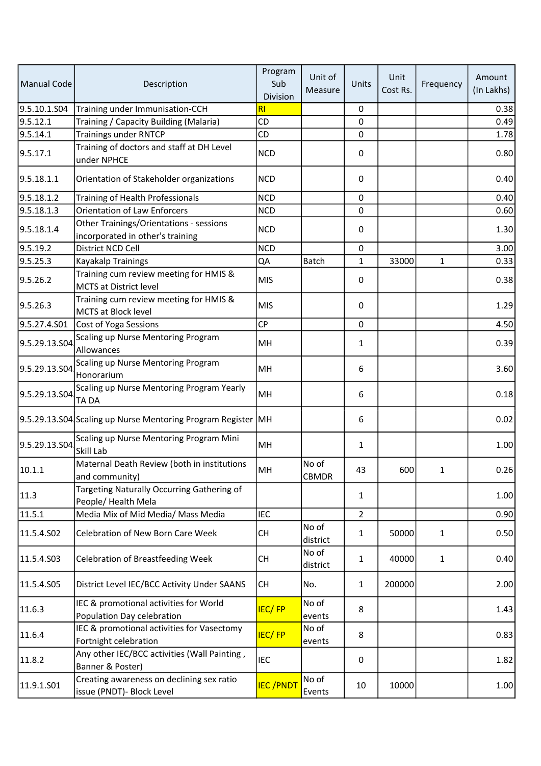| Manual Code   | Description                                                                 | Program<br>Sub<br>Division | Unit of<br>Measure    | Units          | Unit<br>Cost Rs. | Frequency    | Amount<br>(In Lakhs) |
|---------------|-----------------------------------------------------------------------------|----------------------------|-----------------------|----------------|------------------|--------------|----------------------|
| 9.5.10.1.S04  | Training under Immunisation-CCH                                             | RI                         |                       | 0              |                  |              | 0.38                 |
| 9.5.12.1      | Training / Capacity Building (Malaria)                                      | <b>CD</b>                  |                       | 0              |                  |              | 0.49                 |
| 9.5.14.1      | <b>Trainings under RNTCP</b>                                                | CD                         |                       | 0              |                  |              | 1.78                 |
| 9.5.17.1      | Training of doctors and staff at DH Level<br>under NPHCE                    | <b>NCD</b>                 |                       | 0              |                  |              | 0.80                 |
| 9.5.18.1.1    | Orientation of Stakeholder organizations                                    | <b>NCD</b>                 |                       | 0              |                  |              | 0.40                 |
| 9.5.18.1.2    | Training of Health Professionals                                            | <b>NCD</b>                 |                       | 0              |                  |              | 0.40                 |
| 9.5.18.1.3    | <b>Orientation of Law Enforcers</b>                                         | <b>NCD</b>                 |                       | 0              |                  |              | 0.60                 |
| 9.5.18.1.4    | Other Trainings/Orientations - sessions<br>incorporated in other's training | <b>NCD</b>                 |                       | 0              |                  |              | 1.30                 |
| 9.5.19.2      | District NCD Cell                                                           | <b>NCD</b>                 |                       | 0              |                  |              | 3.00                 |
| 9.5.25.3      | Kayakalp Trainings                                                          | QA                         | Batch                 | $\mathbf{1}$   | 33000            | $\mathbf{1}$ | 0.33                 |
| 9.5.26.2      | Training cum review meeting for HMIS &<br><b>MCTS at District level</b>     | <b>MIS</b>                 |                       | 0              |                  |              | 0.38                 |
| 9.5.26.3      | Training cum review meeting for HMIS &<br><b>MCTS at Block level</b>        | <b>MIS</b>                 |                       | 0              |                  |              | 1.29                 |
| 9.5.27.4.S01  | Cost of Yoga Sessions                                                       | <b>CP</b>                  |                       | 0              |                  |              | 4.50                 |
| 9.5.29.13.S04 | Scaling up Nurse Mentoring Program<br>Allowances                            | MH                         |                       | 1              |                  |              | 0.39                 |
| 9.5.29.13.S04 | Scaling up Nurse Mentoring Program<br>Honorarium                            | MH                         |                       | 6              |                  |              | 3.60                 |
| 9.5.29.13.S04 | Scaling up Nurse Mentoring Program Yearly<br>TA DA                          | MH                         |                       | 6              |                  |              | 0.18                 |
|               | 9.5.29.13.S04 Scaling up Nurse Mentoring Program Register MH                |                            |                       | 6              |                  |              | 0.02                 |
| 9.5.29.13.S04 | Scaling up Nurse Mentoring Program Mini<br>Skill Lab                        | MH                         |                       | $\mathbf{1}$   |                  |              | 1.00                 |
| 10.1.1        | Maternal Death Review (both in institutions<br>and community)               | MH                         | No of<br><b>CBMDR</b> | 43             | 600              | 1            | 0.26                 |
| 11.3          | Targeting Naturally Occurring Gathering of<br>People/Health Mela            |                            |                       | 1              |                  |              | 1.00                 |
| 11.5.1        | Media Mix of Mid Media/ Mass Media                                          | IEC                        |                       | $\overline{2}$ |                  |              | 0.90                 |
| 11.5.4.S02    | <b>Celebration of New Born Care Week</b>                                    | <b>CH</b>                  | No of<br>district     | $\mathbf{1}$   | 50000            | 1            | 0.50                 |
| 11.5.4.S03    | <b>Celebration of Breastfeeding Week</b>                                    | <b>CH</b>                  | No of<br>district     | $\mathbf{1}$   | 40000            | $\mathbf{1}$ | 0.40                 |
| 11.5.4.S05    | District Level IEC/BCC Activity Under SAANS                                 | СH                         | No.                   | $\mathbf{1}$   | 200000           |              | 2.00                 |
| 11.6.3        | IEC & promotional activities for World<br>Population Day celebration        | <b>IEC/FP</b>              | No of<br>events       | 8              |                  |              | 1.43                 |
| 11.6.4        | IEC & promotional activities for Vasectomy<br>Fortnight celebration         | <b>IEC/FP</b>              | No of<br>events       | 8              |                  |              | 0.83                 |
| 11.8.2        | Any other IEC/BCC activities (Wall Painting,<br>Banner & Poster)            | <b>IEC</b>                 |                       | 0              |                  |              | 1.82                 |
| 11.9.1.S01    | Creating awareness on declining sex ratio<br>issue (PNDT)- Block Level      | <b>IEC/PNDT</b>            | No of<br>Events       | 10             | 10000            |              | 1.00                 |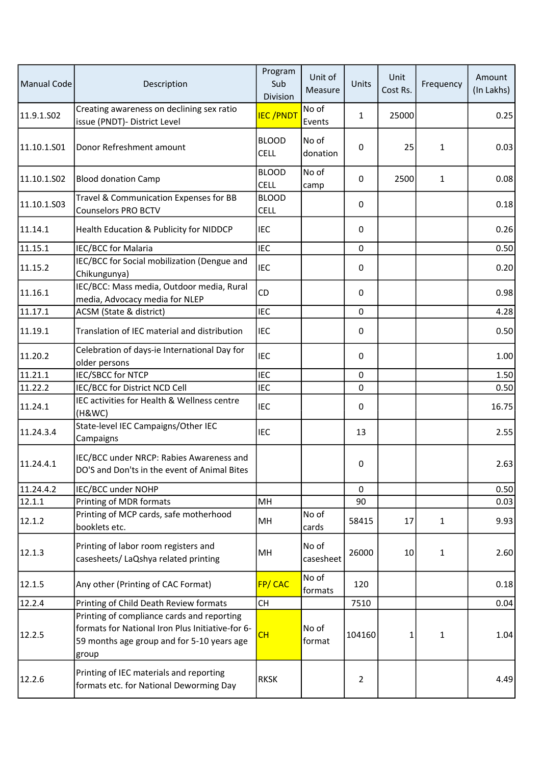| <b>Manual Code</b> | Description                                                                                                                                           | Program<br>Sub<br>Division  | Unit of<br>Measure | Units          | Unit<br>Cost Rs. | Frequency    | Amount<br>(In Lakhs) |
|--------------------|-------------------------------------------------------------------------------------------------------------------------------------------------------|-----------------------------|--------------------|----------------|------------------|--------------|----------------------|
| 11.9.1.S02         | Creating awareness on declining sex ratio<br>issue (PNDT)- District Level                                                                             | <b>IEC/PNDT</b>             | No of<br>Events    | 1              | 25000            |              | 0.25                 |
| 11.10.1.501        | Donor Refreshment amount                                                                                                                              | <b>BLOOD</b><br><b>CELL</b> | No of<br>donation  | 0              | 25               | 1            | 0.03                 |
| 11.10.1.S02        | <b>Blood donation Camp</b>                                                                                                                            | <b>BLOOD</b><br><b>CELL</b> | No of<br>camp      | 0              | 2500             | $\mathbf{1}$ | 0.08                 |
| 11.10.1.S03        | Travel & Communication Expenses for BB<br><b>Counselors PRO BCTV</b>                                                                                  | <b>BLOOD</b><br><b>CELL</b> |                    | 0              |                  |              | 0.18                 |
| 11.14.1            | Health Education & Publicity for NIDDCP                                                                                                               | <b>IEC</b>                  |                    | 0              |                  |              | 0.26                 |
| 11.15.1            | IEC/BCC for Malaria                                                                                                                                   | <b>IEC</b>                  |                    | $\mathbf 0$    |                  |              | 0.50                 |
| 11.15.2            | IEC/BCC for Social mobilization (Dengue and<br>Chikungunya)                                                                                           | IEC                         |                    | 0              |                  |              | 0.20                 |
| 11.16.1            | IEC/BCC: Mass media, Outdoor media, Rural<br>media, Advocacy media for NLEP                                                                           | CD                          |                    | 0              |                  |              | 0.98                 |
| 11.17.1            | ACSM (State & district)                                                                                                                               | <b>IEC</b>                  |                    | 0              |                  |              | 4.28                 |
| 11.19.1            | Translation of IEC material and distribution                                                                                                          | <b>IEC</b>                  |                    | 0              |                  |              | 0.50                 |
| 11.20.2            | Celebration of days-ie International Day for<br>older persons                                                                                         | <b>IEC</b>                  |                    | 0              |                  |              | 1.00                 |
| 11.21.1            | <b>IEC/SBCC for NTCP</b>                                                                                                                              | <b>IEC</b>                  |                    | 0              |                  |              | 1.50                 |
| 11.22.2            | IEC/BCC for District NCD Cell                                                                                                                         | <b>IEC</b>                  |                    | 0              |                  |              | 0.50                 |
| 11.24.1            | IEC activities for Health & Wellness centre<br>(H&WC)                                                                                                 | IEC                         |                    | 0              |                  |              | 16.75                |
| 11.24.3.4          | State-level IEC Campaigns/Other IEC<br>Campaigns                                                                                                      | <b>IEC</b>                  |                    | 13             |                  |              | 2.55                 |
| 11.24.4.1          | IEC/BCC under NRCP: Rabies Awareness and<br>DO'S and Don'ts in the event of Animal Bites                                                              |                             |                    | 0              |                  |              | 2.63                 |
| 11.24.4.2          | IEC/BCC under NOHP                                                                                                                                    |                             |                    | $\mathbf 0$    |                  |              | 0.50                 |
| 12.1.1             | Printing of MDR formats                                                                                                                               | MH                          |                    | 90             |                  |              | 0.03                 |
| 12.1.2             | Printing of MCP cards, safe motherhood<br>booklets etc.                                                                                               | MH                          | No of<br>cards     | 58415          | 17               | 1            | 9.93                 |
| 12.1.3             | Printing of labor room registers and<br>casesheets/ LaQshya related printing                                                                          | MH                          | No of<br>casesheet | 26000          | 10               | 1            | 2.60                 |
| 12.1.5             | Any other (Printing of CAC Format)                                                                                                                    | FP/CAC                      | No of<br>formats   | 120            |                  |              | 0.18                 |
| 12.2.4             | Printing of Child Death Review formats                                                                                                                | CH                          |                    | 7510           |                  |              | 0.04                 |
| 12.2.5             | Printing of compliance cards and reporting<br>formats for National Iron Plus Initiative-for 6-<br>59 months age group and for 5-10 years age<br>group | <b>CH</b>                   | No of<br>format    | 104160         | 1                | 1            | 1.04                 |
| 12.2.6             | Printing of IEC materials and reporting<br>formats etc. for National Deworming Day                                                                    | <b>RKSK</b>                 |                    | $\overline{2}$ |                  |              | 4.49                 |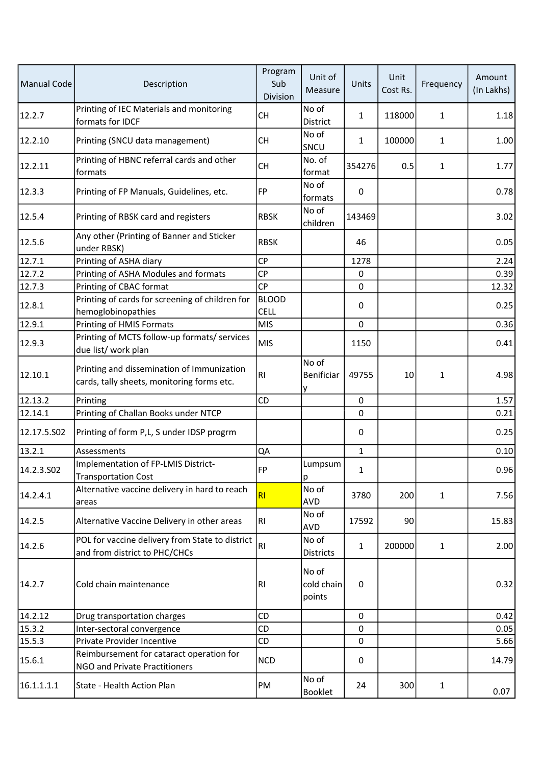| Manual Code | Description                                                                              | Program<br>Sub<br>Division  | Unit of<br>Measure            | Units        | Unit<br>Cost Rs. | Frequency    | Amount<br>(In Lakhs) |
|-------------|------------------------------------------------------------------------------------------|-----------------------------|-------------------------------|--------------|------------------|--------------|----------------------|
| 12.2.7      | Printing of IEC Materials and monitoring<br>formats for IDCF                             | <b>CH</b>                   | No of<br><b>District</b>      | 1            | 118000           | $\mathbf{1}$ | 1.18                 |
| 12.2.10     | Printing (SNCU data management)                                                          | <b>CH</b>                   | No of<br>SNCU                 | 1            | 100000           | $\mathbf{1}$ | 1.00                 |
| 12.2.11     | Printing of HBNC referral cards and other<br>formats                                     | <b>CH</b>                   | No. of<br>format              | 354276       | 0.5              | $\mathbf{1}$ | 1.77                 |
| 12.3.3      | Printing of FP Manuals, Guidelines, etc.                                                 | FP                          | No of<br>formats              | 0            |                  |              | 0.78                 |
| 12.5.4      | Printing of RBSK card and registers                                                      | <b>RBSK</b>                 | No of<br>children             | 143469       |                  |              | 3.02                 |
| 12.5.6      | Any other (Printing of Banner and Sticker<br>under RBSK)                                 | <b>RBSK</b>                 |                               | 46           |                  |              | 0.05                 |
| 12.7.1      | Printing of ASHA diary                                                                   | CP                          |                               | 1278         |                  |              | 2.24                 |
| 12.7.2      | Printing of ASHA Modules and formats                                                     | <b>CP</b>                   |                               | $\pmb{0}$    |                  |              | 0.39                 |
| 12.7.3      | Printing of CBAC format                                                                  | <b>CP</b>                   |                               | $\mathbf 0$  |                  |              | 12.32                |
| 12.8.1      | Printing of cards for screening of children for<br>hemoglobinopathies                    | <b>BLOOD</b><br><b>CELL</b> |                               | 0            |                  |              | 0.25                 |
| 12.9.1      | Printing of HMIS Formats                                                                 | <b>MIS</b>                  |                               | $\mathbf 0$  |                  |              | 0.36                 |
| 12.9.3      | Printing of MCTS follow-up formats/ services<br>due list/ work plan                      | <b>MIS</b>                  |                               | 1150         |                  |              | 0.41                 |
| 12.10.1     | Printing and dissemination of Immunization<br>cards, tally sheets, monitoring forms etc. | RI                          | No of<br>Benificiar<br>у      | 49755        | 10               | 1            | 4.98                 |
| 12.13.2     | Printing                                                                                 | CD                          |                               | $\mathbf{0}$ |                  |              | 1.57                 |
| 12.14.1     | Printing of Challan Books under NTCP                                                     |                             |                               | $\mathbf 0$  |                  |              | 0.21                 |
| 12.17.5.502 | Printing of form P,L, S under IDSP progrm                                                |                             |                               | 0            |                  |              | 0.25                 |
| 13.2.1      | Assessments                                                                              | QA                          |                               | $\mathbf{1}$ |                  |              | 0.10                 |
| 14.2.3.S02  | Implementation of FP-LMIS District-<br><b>Transportation Cost</b>                        | FP                          | Lumpsum<br>p                  | 1            |                  |              | 0.96                 |
| 14.2.4.1    | Alternative vaccine delivery in hard to reach<br>areas                                   | R <sub>1</sub>              | No of<br><b>AVD</b>           | 3780         | 200              | $\mathbf{1}$ | 7.56                 |
| 14.2.5      | Alternative Vaccine Delivery in other areas                                              | R1                          | No of<br>AVD                  | 17592        | 90               |              | 15.83                |
| 14.2.6      | POL for vaccine delivery from State to district<br>and from district to PHC/CHCs         | <b>RI</b>                   | No of<br><b>Districts</b>     | 1            | 200000           | $\mathbf{1}$ | 2.00                 |
| 14.2.7      | Cold chain maintenance                                                                   | R1                          | No of<br>cold chain<br>points | 0            |                  |              | 0.32                 |
| 14.2.12     | Drug transportation charges                                                              | CD                          |                               | 0            |                  |              | 0.42                 |
| 15.3.2      | Inter-sectoral convergence                                                               | CD                          |                               | $\mathbf 0$  |                  |              | 0.05                 |
| 15.5.3      | Private Provider Incentive                                                               | CD                          |                               | $\mathbf 0$  |                  |              | 5.66                 |
| 15.6.1      | Reimbursement for cataract operation for<br>NGO and Private Practitioners                | <b>NCD</b>                  |                               | 0            |                  |              | 14.79                |
| 16.1.1.1.1  | State - Health Action Plan                                                               | PM                          | No of<br><b>Booklet</b>       | 24           | 300              | $\mathbf{1}$ | 0.07                 |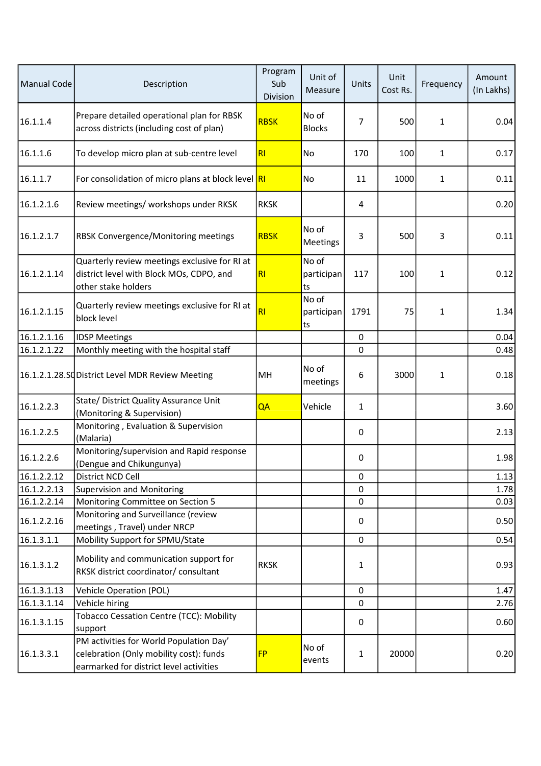| Manual Code | Description                                                                                                                              | Program<br>Sub<br>Division | Unit of<br>Measure        | Units          | Unit<br>Cost Rs. | Frequency    | Amount<br>(In Lakhs) |
|-------------|------------------------------------------------------------------------------------------------------------------------------------------|----------------------------|---------------------------|----------------|------------------|--------------|----------------------|
| 16.1.1.4    | Prepare detailed operational plan for RBSK<br>across districts (including cost of plan)                                                  | <b>RBSK</b>                | No of<br><b>Blocks</b>    | $\overline{7}$ | 500              | 1            | 0.04                 |
| 16.1.1.6    | To develop micro plan at sub-centre level                                                                                                | RI                         | No                        | 170            | 100              | $\mathbf{1}$ | 0.17                 |
| 16.1.1.7    | For consolidation of micro plans at block level RI                                                                                       |                            | No                        | 11             | 1000             | $\mathbf{1}$ | 0.11                 |
| 16.1.2.1.6  | Review meetings/ workshops under RKSK                                                                                                    | <b>RKSK</b>                |                           | 4              |                  |              | 0.20                 |
| 16.1.2.1.7  | <b>RBSK Convergence/Monitoring meetings</b>                                                                                              | <b>RBSK</b>                | No of<br>Meetings         | 3              | 500              | 3            | 0.11                 |
| 16.1.2.1.14 | Quarterly review meetings exclusive for RI at<br>district level with Block MOs, CDPO, and<br>other stake holders                         | RI                         | No of<br>participan<br>ts | 117            | 100              | 1            | 0.12                 |
| 16.1.2.1.15 | Quarterly review meetings exclusive for RI at<br>block level                                                                             | RI                         | No of<br>participan<br>ts | 1791           | 75               | $\mathbf{1}$ | 1.34                 |
| 16.1.2.1.16 | <b>IDSP Meetings</b>                                                                                                                     |                            |                           | 0              |                  |              | 0.04                 |
| 16.1.2.1.22 | Monthly meeting with the hospital staff                                                                                                  |                            |                           | 0              |                  |              | 0.48                 |
|             | 16.1.2.1.28.SC District Level MDR Review Meeting                                                                                         | MH                         | No of<br>meetings         | 6              | 3000             | 1            | 0.18                 |
| 16.1.2.2.3  | State/ District Quality Assurance Unit<br>(Monitoring & Supervision)                                                                     | QA                         | Vehicle                   | $\mathbf{1}$   |                  |              | 3.60                 |
| 16.1.2.2.5  | Monitoring, Evaluation & Supervision<br>(Malaria)                                                                                        |                            |                           | 0              |                  |              | 2.13                 |
| 16.1.2.2.6  | Monitoring/supervision and Rapid response<br>(Dengue and Chikungunya)                                                                    |                            |                           | 0              |                  |              | 1.98                 |
| 16.1.2.2.12 | District NCD Cell                                                                                                                        |                            |                           | 0              |                  |              | 1.13                 |
| 16.1.2.2.13 | <b>Supervision and Monitoring</b>                                                                                                        |                            |                           | $\Omega$       |                  |              | 1.78                 |
| 16.1.2.2.14 | Monitoring Committee on Section 5                                                                                                        |                            |                           | 0              |                  |              | 0.03                 |
| 16.1.2.2.16 | Monitoring and Surveillance (review<br>meetings, Travel) under NRCP                                                                      |                            |                           | 0              |                  |              | 0.50                 |
| 16.1.3.1.1  | Mobility Support for SPMU/State                                                                                                          |                            |                           | 0              |                  |              | 0.54                 |
| 16.1.3.1.2  | Mobility and communication support for<br>RKSK district coordinator/ consultant                                                          | <b>RKSK</b>                |                           | $\mathbf{1}$   |                  |              | 0.93                 |
| 16.1.3.1.13 | <b>Vehicle Operation (POL)</b>                                                                                                           |                            |                           | 0              |                  |              | 1.47                 |
| 16.1.3.1.14 | Vehicle hiring                                                                                                                           |                            |                           | 0              |                  |              | 2.76                 |
| 16.1.3.1.15 | Tobacco Cessation Centre (TCC): Mobility                                                                                                 |                            |                           | 0              |                  |              | 0.60                 |
| 16.1.3.3.1  | support<br>PM activities for World Population Day'<br>celebration (Only mobility cost): funds<br>earmarked for district level activities | <b>FP</b>                  | No of<br>events           | $\mathbf{1}$   | 20000            |              | 0.20                 |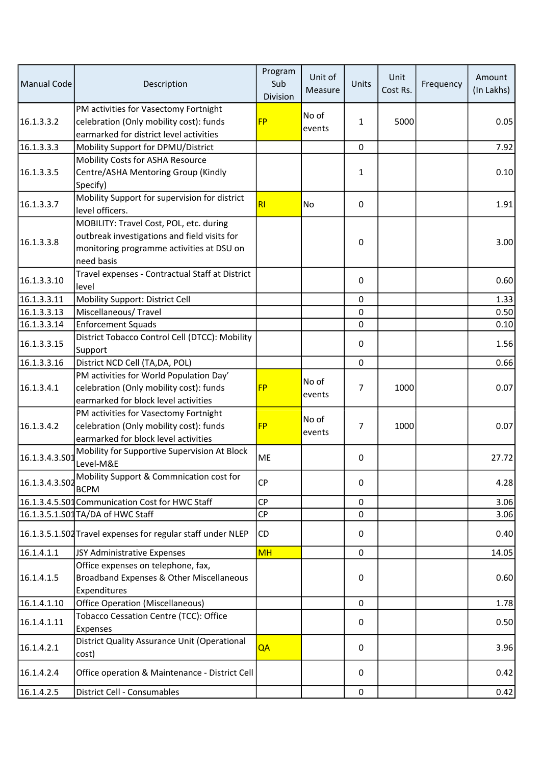| <b>Manual Code</b> | Description                                                                                                                                        | Program<br>Sub<br>Division | Unit of<br>Measure | Units          | Unit<br>Cost Rs. | Frequency | Amount<br>(In Lakhs) |
|--------------------|----------------------------------------------------------------------------------------------------------------------------------------------------|----------------------------|--------------------|----------------|------------------|-----------|----------------------|
| 16.1.3.3.2         | PM activities for Vasectomy Fortnight<br>celebration (Only mobility cost): funds<br>earmarked for district level activities                        | <b>FP</b>                  | No of<br>events    | $\mathbf{1}$   | 5000             |           | 0.05                 |
| 16.1.3.3.3         | Mobility Support for DPMU/District                                                                                                                 |                            |                    | 0              |                  |           | 7.92                 |
|                    | Mobility Costs for ASHA Resource                                                                                                                   |                            |                    |                |                  |           |                      |
| 16.1.3.3.5         | Centre/ASHA Mentoring Group (Kindly<br>Specify)                                                                                                    |                            |                    | $\mathbf{1}$   |                  |           | 0.10                 |
| 16.1.3.3.7         | Mobility Support for supervision for district<br>level officers.                                                                                   | RI                         | <b>No</b>          | 0              |                  |           | 1.91                 |
| 16.1.3.3.8         | MOBILITY: Travel Cost, POL, etc. during<br>outbreak investigations and field visits for<br>monitoring programme activities at DSU on<br>need basis |                            |                    | 0              |                  |           | 3.00                 |
| 16.1.3.3.10        | Travel expenses - Contractual Staff at District<br>level                                                                                           |                            |                    | 0              |                  |           | 0.60                 |
| 16.1.3.3.11        | Mobility Support: District Cell                                                                                                                    |                            |                    | 0              |                  |           | 1.33                 |
| 16.1.3.3.13        | Miscellaneous/Travel                                                                                                                               |                            |                    | 0              |                  |           | 0.50                 |
| 16.1.3.3.14        | <b>Enforcement Squads</b>                                                                                                                          |                            |                    | 0              |                  |           | 0.10                 |
| 16.1.3.3.15        | District Tobacco Control Cell (DTCC): Mobility<br>Support                                                                                          |                            |                    | 0              |                  |           | 1.56                 |
| 16.1.3.3.16        | District NCD Cell (TA, DA, POL)                                                                                                                    |                            |                    | 0              |                  |           | 0.66                 |
| 16.1.3.4.1         | PM activities for World Population Day'<br>celebration (Only mobility cost): funds<br>earmarked for block level activities                         | <b>FP</b>                  | No of<br>events    | $\overline{7}$ | 1000             |           | 0.07                 |
| 16.1.3.4.2         | PM activities for Vasectomy Fortnight<br>celebration (Only mobility cost): funds<br>earmarked for block level activities                           | <b>FP</b>                  | No of<br>events    | $\overline{7}$ | 1000             |           | 0.07                 |
| 16.1.3.4.3.S01     | Mobility for Supportive Supervision At Block<br>Level-M&E                                                                                          | ME                         |                    | 0              |                  |           | 27.72                |
| 16.1.3.4.3.502     | Mobility Support & Commnication cost for<br><b>BCPM</b>                                                                                            | <b>CP</b>                  |                    | 0              |                  |           | 4.28                 |
|                    | 16.1.3.4.5.S01 Communication Cost for HWC Staff                                                                                                    | <b>CP</b>                  |                    | 0              |                  |           | 3.06                 |
|                    | 16.1.3.5.1.S01 TA/DA of HWC Staff                                                                                                                  | <b>CP</b>                  |                    | $\mathbf 0$    |                  |           | 3.06                 |
|                    | 16.1.3.5.1.SO2 Travel expenses for regular staff under NLEP                                                                                        | CD                         |                    | 0              |                  |           | 0.40                 |
| 16.1.4.1.1         | JSY Administrative Expenses                                                                                                                        | <b>MH</b>                  |                    | 0              |                  |           | 14.05                |
| 16.1.4.1.5         | Office expenses on telephone, fax,<br>Broadband Expenses & Other Miscellaneous<br>Expenditures                                                     |                            |                    | 0              |                  |           | 0.60                 |
| 16.1.4.1.10        | <b>Office Operation (Miscellaneous)</b>                                                                                                            |                            |                    | $\mathbf 0$    |                  |           | 1.78                 |
| 16.1.4.1.11        | Tobacco Cessation Centre (TCC): Office<br>Expenses                                                                                                 |                            |                    | 0              |                  |           | 0.50                 |
| 16.1.4.2.1         | District Quality Assurance Unit (Operational<br>cost)                                                                                              | QA                         |                    | 0              |                  |           | 3.96                 |
| 16.1.4.2.4         | Office operation & Maintenance - District Cell                                                                                                     |                            |                    | 0              |                  |           | 0.42                 |
| 16.1.4.2.5         | District Cell - Consumables                                                                                                                        |                            |                    | 0              |                  |           | 0.42                 |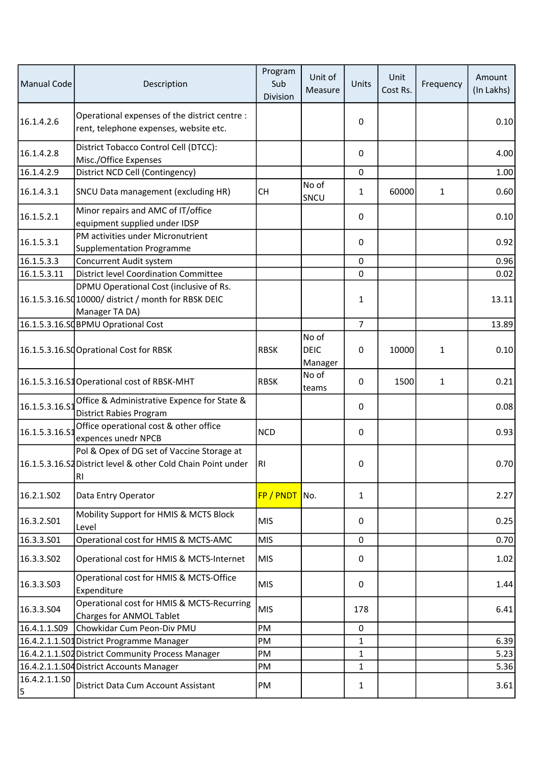| Manual Code            | Description                                                                                                                  | Program<br>Sub<br>Division | Unit of<br>Measure              | Units          | Unit<br>Cost Rs. | Frequency    | Amount<br>(In Lakhs) |
|------------------------|------------------------------------------------------------------------------------------------------------------------------|----------------------------|---------------------------------|----------------|------------------|--------------|----------------------|
| 16.1.4.2.6             | Operational expenses of the district centre :<br>rent, telephone expenses, website etc.                                      |                            |                                 | 0              |                  |              | 0.10                 |
| 16.1.4.2.8             | District Tobacco Control Cell (DTCC):<br>Misc./Office Expenses                                                               |                            |                                 | 0              |                  |              | 4.00                 |
| 16.1.4.2.9             | District NCD Cell (Contingency)                                                                                              |                            |                                 | $\mathbf 0$    |                  |              | 1.00                 |
| 16.1.4.3.1             | SNCU Data management (excluding HR)                                                                                          | <b>CH</b>                  | No of<br>SNCU                   | 1              | 60000            | 1            | 0.60                 |
| 16.1.5.2.1             | Minor repairs and AMC of IT/office<br>equipment supplied under IDSP                                                          |                            |                                 | 0              |                  |              | 0.10                 |
| 16.1.5.3.1             | PM activities under Micronutrient<br><b>Supplementation Programme</b>                                                        |                            |                                 | 0              |                  |              | 0.92                 |
| 16.1.5.3.3             | Concurrent Audit system                                                                                                      |                            |                                 | 0              |                  |              | 0.96                 |
| 16.1.5.3.11            | District level Coordination Committee                                                                                        |                            |                                 | 0              |                  |              | 0.02                 |
|                        | DPMU Operational Cost (inclusive of Rs.<br>16.1.5.3.16.SQ 10000/ district / month for RBSK DEIC<br>Manager TA DA)            |                            |                                 | $\mathbf{1}$   |                  |              | 13.11                |
|                        | 16.1.5.3.16.SQBPMU Oprational Cost                                                                                           |                            |                                 | $\overline{7}$ |                  |              | 13.89                |
|                        | 16.1.5.3.16.SCOprational Cost for RBSK                                                                                       | <b>RBSK</b>                | No of<br><b>DEIC</b><br>Manager | 0              | 10000            | $\mathbf{1}$ | 0.10                 |
|                        | 16.1.5.3.16.S1 Operational cost of RBSK-MHT                                                                                  | <b>RBSK</b>                | No of<br>teams                  | 0              | 1500             | 1            | 0.21                 |
| 16.1.5.3.16.S1         | Office & Administrative Expence for State &<br>District Rabies Program                                                       |                            |                                 | 0              |                  |              | 0.08                 |
| 16.1.5.3.16.S1         | Office operational cost & other office<br>expences unedr NPCB                                                                | <b>NCD</b>                 |                                 | 0              |                  |              | 0.93                 |
|                        | Pol & Opex of DG set of Vaccine Storage at<br>16.1.5.3.16.S2 District level & other Cold Chain Point under<br>R <sub>1</sub> | RI                         |                                 | 0              |                  |              | 0.70                 |
| 16.2.1.SO <sub>2</sub> | Data Entry Operator                                                                                                          | FP / PNDT No.              |                                 | $\mathbf{1}$   |                  |              | 2.27                 |
| 16.3.2.S01             | Mobility Support for HMIS & MCTS Block<br>Level                                                                              | <b>MIS</b>                 |                                 | $\Omega$       |                  |              | 0.25                 |
| 16.3.3.S01             | Operational cost for HMIS & MCTS-AMC                                                                                         | <b>MIS</b>                 |                                 | 0              |                  |              | 0.70                 |
| 16.3.3.502             | Operational cost for HMIS & MCTS-Internet                                                                                    | <b>MIS</b>                 |                                 | 0              |                  |              | 1.02                 |
| 16.3.3.503             | Operational cost for HMIS & MCTS-Office<br>Expenditure                                                                       | <b>MIS</b>                 |                                 | 0              |                  |              | 1.44                 |
| 16.3.3.504             | Operational cost for HMIS & MCTS-Recurring<br>Charges for ANMOL Tablet                                                       | <b>MIS</b>                 |                                 | 178            |                  |              | 6.41                 |
| 16.4.1.1.S09           | Chowkidar Cum Peon-Div PMU                                                                                                   | <b>PM</b>                  |                                 | 0              |                  |              |                      |
|                        | 16.4.2.1.1.S01 District Programme Manager                                                                                    | PM                         |                                 | $\mathbf{1}$   |                  |              | 6.39                 |
|                        | 16.4.2.1.1.S02 District Community Process Manager                                                                            | PM                         |                                 | $\mathbf{1}$   |                  |              | 5.23                 |
|                        | 16.4.2.1.1.S04 District Accounts Manager                                                                                     | PM                         |                                 | $\mathbf{1}$   |                  |              | 5.36                 |
| 16.4.2.1.1.SO<br>5     | District Data Cum Account Assistant                                                                                          | PM                         |                                 | 1              |                  |              | 3.61                 |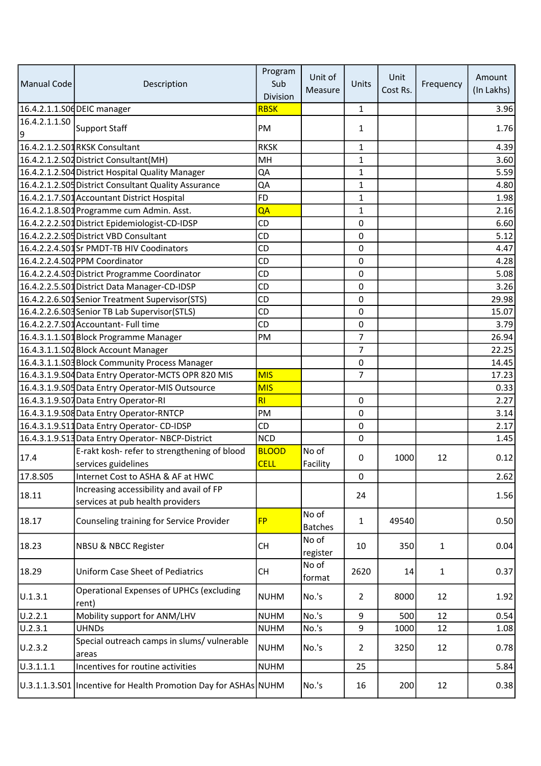| Manual Code        | Description                                                         | Program<br>Sub<br>Division  | Unit of<br>Measure      | Units          | Unit<br>Cost Rs. | Frequency    | Amount<br>(In Lakhs) |
|--------------------|---------------------------------------------------------------------|-----------------------------|-------------------------|----------------|------------------|--------------|----------------------|
|                    | 16.4.2.1.1.S06 DEIC manager                                         | <b>RBSK</b>                 |                         | $\mathbf{1}$   |                  |              | 3.96                 |
| 16.4.2.1.1.SO<br>9 | Support Staff                                                       | PM                          |                         | 1              |                  |              | 1.76                 |
|                    | 16.4.2.1.2.S01 RKSK Consultant                                      | <b>RKSK</b>                 |                         | 1              |                  |              | 4.39                 |
|                    | 16.4.2.1.2.S02 District Consultant(MH)                              | MH                          |                         | 1              |                  |              | 3.60                 |
|                    | 16.4.2.1.2.S04 District Hospital Quality Manager                    | QA                          |                         | $\mathbf{1}$   |                  |              | 5.59                 |
|                    | 16.4.2.1.2.S05 District Consultant Quality Assurance                | QA                          |                         | $\mathbf{1}$   |                  |              | 4.80                 |
|                    | 16.4.2.1.7.S01 Accountant District Hospital                         | <b>FD</b>                   |                         | 1              |                  |              | 1.98                 |
|                    | 16.4.2.1.8.S01 Programme cum Admin. Asst.                           | QA                          |                         | 1              |                  |              | 2.16                 |
|                    | 16.4.2.2.2.S01 District Epidemiologist-CD-IDSP                      | CD                          |                         | $\mathbf 0$    |                  |              | 6.60                 |
|                    | 16.4.2.2.2.S05 District VBD Consultant                              | CD                          |                         | $\mathbf 0$    |                  |              | 5.12                 |
|                    | 16.4.2.2.4.S01Sr PMDT-TB HIV Coodinators                            | CD                          |                         | 0              |                  |              | 4.47                 |
|                    | 16.4.2.2.4.S02 PPM Coordinator                                      | CD                          |                         | $\mathbf 0$    |                  |              | 4.28                 |
|                    | 16.4.2.2.4.S03 District Programme Coordinator                       | CD                          |                         | 0              |                  |              | 5.08                 |
|                    | 16.4.2.2.5.S01 District Data Manager-CD-IDSP                        | <b>CD</b>                   |                         | $\Omega$       |                  |              | 3.26                 |
|                    | 16.4.2.2.6.S01 Senior Treatment Supervisor(STS)                     | <b>CD</b>                   |                         | 0              |                  |              | 29.98                |
|                    | 16.4.2.2.6.S03 Senior TB Lab Supervisor (STLS)                      | <b>CD</b>                   |                         | 0              |                  |              | 15.07                |
|                    | 16.4.2.2.7.S01 Accountant- Full time                                | <b>CD</b>                   |                         | 0              |                  |              | 3.79                 |
|                    | 16.4.3.1.1.S01 Block Programme Manager                              | PM                          |                         | $\overline{7}$ |                  |              | 26.94                |
|                    | 16.4.3.1.1.S02 Block Account Manager                                |                             |                         | $\overline{7}$ |                  |              | 22.25                |
|                    | 16.4.3.1.1.S03 Block Community Process Manager                      |                             |                         | 0              |                  |              | 14.45                |
|                    | 16.4.3.1.9.S04 Data Entry Operator-MCTS OPR 820 MIS                 | <b>MIS</b>                  |                         | $\overline{7}$ |                  |              | 17.23                |
|                    | 16.4.3.1.9.S05 Data Entry Operator-MIS Outsource                    | <b>MIS</b>                  |                         |                |                  |              | 0.33                 |
|                    | 16.4.3.1.9.S07 Data Entry Operator-RI                               | RI                          |                         | $\mathbf 0$    |                  |              | 2.27                 |
|                    | 16.4.3.1.9.S08 Data Entry Operator-RNTCP                            | PM                          |                         | $\pmb{0}$      |                  |              | 3.14                 |
|                    | 16.4.3.1.9.S11 Data Entry Operator-CD-IDSP                          | CD                          |                         | 0              |                  |              | 2.17                 |
|                    | 16.4.3.1.9.S13 Data Entry Operator-NBCP-District                    | <b>NCD</b>                  |                         | $\mathbf 0$    |                  |              | 1.45                 |
| 17.4               | E-rakt kosh- refer to strengthening of blood<br>services guidelines | <b>BLOOD</b><br><b>CELL</b> | No of<br>Facility       | 0              | 1000             | 12           | 0.12                 |
| 17.8.505           | Internet Cost to ASHA & AF at HWC                                   |                             |                         | 0              |                  |              | 2.62                 |
|                    | Increasing accessibility and avail of FP                            |                             |                         |                |                  |              |                      |
| 18.11              | services at pub health providers                                    |                             |                         | 24             |                  |              | 1.56                 |
| 18.17              | Counseling training for Service Provider                            | <b>FP</b>                   | No of<br><b>Batches</b> | $\mathbf{1}$   | 49540            |              | 0.50                 |
| 18.23              | NBSU & NBCC Register                                                | <b>CH</b>                   | No of<br>register       | 10             | 350              | $\mathbf{1}$ | 0.04                 |
| 18.29              | <b>Uniform Case Sheet of Pediatrics</b>                             | <b>CH</b>                   | No of<br>format         | 2620           | 14               | $\mathbf{1}$ | 0.37                 |
| U.1.3.1            | <b>Operational Expenses of UPHCs (excluding</b><br>rent)            | <b>NUHM</b>                 | No.'s                   | $\overline{2}$ | 8000             | 12           | 1.92                 |
| U.2.2.1            | Mobility support for ANM/LHV                                        | <b>NUHM</b>                 | No.'s                   | 9              | 500              | 12           | 0.54                 |
| U.2.3.1            | <b>UHNDs</b>                                                        | <b>NUHM</b>                 | No.'s                   | 9              | 1000             | 12           | 1.08                 |
| U.2.3.2            | Special outreach camps in slums/ vulnerable<br>areas                | <b>NUHM</b>                 | No.'s                   | $\mathbf{2}$   | 3250             | 12           | 0.78                 |
| 0.3.1.1.1          | Incentives for routine activities                                   | <b>NUHM</b>                 |                         | 25             |                  |              | 5.84                 |
|                    | U.3.1.1.3.S01   Incentive for Health Promotion Day for ASHAs NUHM   |                             | No.'s                   | 16             | 200              | 12           | 0.38                 |